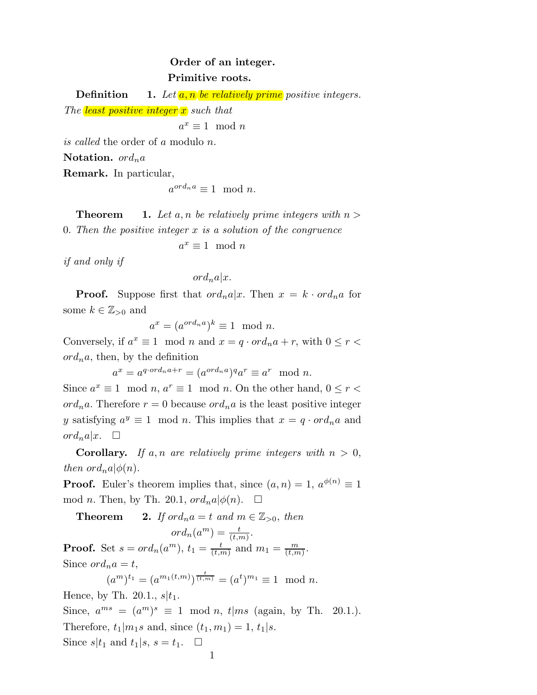## Order of an integer. Primitive roots.

**Definition** 1. Let  $\overline{a}$ ,  $\overline{n}$  be relatively prime positive integers.

The least positive integer  $x$  such that

 $a^x \equiv 1 \mod n$ 

is called the order of a modulo n.

Notation.  $ord_n a$ 

Remark. In particular,

$$
a^{ord_n a} \equiv 1 \mod n.
$$

**Theorem** 20.1. Let a, n be relatively prime integers with  $n >$ 

0. Then the positive integer  $x$  is a solution of the congruence

$$
a^x \equiv 1 \mod n
$$

if and only if

 $ord_n a|x.$ 

**Proof.** Suppose first that  $ord_n a|x$ . Then  $x = k \cdot ord_n a$  for some  $k \in \mathbb{Z}_{>0}$  and

$$
a^x = (a^{ord_n a})^k \equiv 1 \mod n.
$$

Conversely, if  $a^x \equiv 1 \mod n$  and  $x = q \cdot ord_n a + r$ , with  $0 \le r <$  $\partial r d_n a$ , then, by the definition

 $a^x = a^{q \cdot ord_n a + r} = (a^{ord_n a})^q a^r \equiv a^r \mod n.$ 

Since  $a^x \equiv 1 \mod n$ ,  $a^r \equiv 1 \mod n$ . On the other hand,  $0 \le r <$ ord<sub>n</sub>a. Therefore  $r = 0$  because ord<sub>n</sub>a is the least positive integer y satisfying  $a^y \equiv 1 \mod n$ . This implies that  $x = q \cdot \text{ord}_n a$  and  $ord_n a | x. \square$ 

**Corollary.** If a, n are relatively prime integers with  $n > 0$ , then  $\partial_{n}a|\phi(n)$ .

**Proof.** Euler's theorem implies that, since  $(a, n) = 1$ ,  $a^{\phi(n)} \equiv 1$ mod *n*. Then, by Th. 20.1,  $ord_n a|\phi(n)$ .  $\Box$ 

**Theorem** 2. If ord<sub>n</sub>a = t and  $m \in \mathbb{Z}_{>0}$ , then

 $ord_n(a^m) = \frac{t}{(t,m)}.$ **Proof.** Set  $s = ord_n(a^m)$ ,  $t_1 = \frac{t}{(t, t)}$  $\frac{t}{(t,m)}$  and  $m_1 = \frac{m}{(t,m)}$  $\frac{m}{(t,m)}$ . Since  $\text{ord}_n a = t$ ,  $(a^m)^{t_1} = (a^{m_1(t,m)})^{\frac{t}{(t,m)}} = (a^t)^{m_1} \equiv 1 \mod n.$ Hence, by Th. 20.1.,  $s|t_1$ . Since,  $a^{ms} = (a^m)^s \equiv 1 \mod n$ ,  $t | ms$  (again, by Th. 20.1.). Therefore,  $t_1|m_1s$  and, since  $(t_1, m_1) = 1, t_1|s$ . Since  $s|t_1$  and  $t_1|s, s = t_1$ .  $\Box$ 1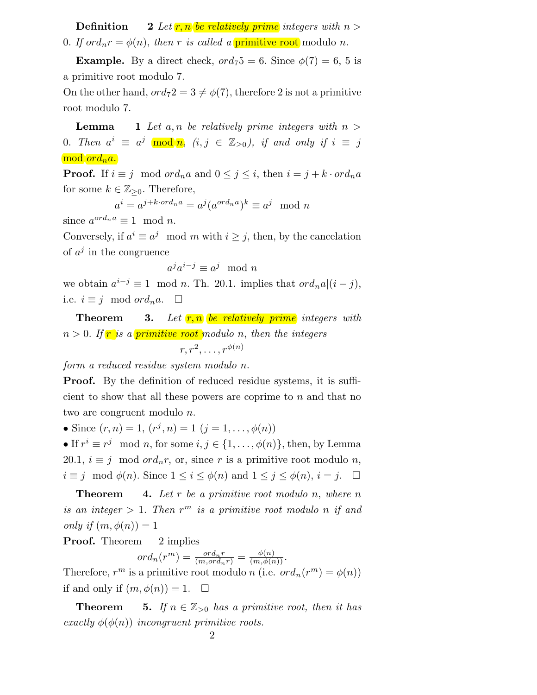**Definition** 2 Let **r**, n be relatively prime integers with  $n >$ 0. If  $ord_n r = \phi(n)$ , then r is called a **primitive root** modulo n.

**Example.** By a direct check,  $\text{ord}_75 = 6$ . Since  $\phi(7) = 6$ , 5 is a primitive root modulo 7.

On the other hand,  $ord_72 = 3 \neq \phi(7)$ , therefore 2 is not a primitive root modulo 7.

**Lemma** 1 Let a, n be relatively prime integers with  $n >$ 0. Then  $a^i \equiv a^j \mod n$ ,  $(i, j \in \mathbb{Z}_{\ge 0})$ , if and only if  $i \equiv j$  $\mod{ord_n a}.$ 

**Proof.** If  $i \equiv j \mod ord_n a$  and  $0 \leq j \leq i$ , then  $i = j + k \cdot ord_n a$ for some  $k \in \mathbb{Z}_{\geq 0}$ . Therefore,

$$
u^i = a^{j+k \cdot ord_n a} = a^j (a^{ord_n a})^k \equiv a^j \mod n
$$

 $\epsilon$ since  $a^{ord_n a} \equiv 1 \mod n$ .

Conversely, if  $a^i \equiv a^j \mod m$  with  $i \geq j$ , then, by the cancelation of  $a^j$  in the congruence

$$
a^j a^{i-j} \equiv a^j \mod n
$$

we obtain  $a^{i-j} \equiv 1 \mod n$ . Th. 20.1. implies that  $\partial d_n a|(i-j)$ , i.e.  $i \equiv j \mod ord_n a$ . □

**Theorem** 3. Let  $r, n$  be relatively prime integers with  $n > 0$ . If **r** is a primitive root modulo n, then the integers  $r, r^2, \ldots, r^{\phi(n)}$ 

form a reduced residue system modulo n.

**Proof.** By the definition of reduced residue systems, it is sufficient to show that all these powers are coprime to n and that no two are congruent modulo n.

• Since  $(r, n) = 1, (r^j, n) = 1 (j = 1, \ldots, \phi(n))$ 

• If  $r^i \equiv r^j \mod n$ , for some  $i, j \in \{1, ..., \phi(n)\}\$ , then, by Lemma 20.1,  $i \equiv j \mod ord_n r$ , or, since r is a primitive root modulo n,  $i \equiv j \mod \phi(n)$ . Since  $1 \leq i \leq \phi(n)$  and  $1 \leq j \leq \phi(n)$ ,  $i = j$ .  $\Box$ 

**Theorem** 4. Let r be a primitive root modulo n, where n is an integer  $> 1$ . Then  $r^m$  is a primitive root modulo n if and only if  $(m, \phi(n)) = 1$ 

**Proof.** Theorem 2 implies

$$
ord_n(r^m) = \frac{ord_n r}{(m, ord_n r)} = \frac{\phi(n)}{(m, \phi(n))}.
$$

Therefore,  $r^m$  is a primitive root modulo n (i.e.  $ord_n(r^m) = \phi(n)$ ) if and only if  $(m, \phi(n)) = 1$ .  $\Box$ 

**Theorem** 25. If  $n \in \mathbb{Z}_{>0}$  has a primitive root, then it has exactly  $\phi(\phi(n))$  incongruent primitive roots.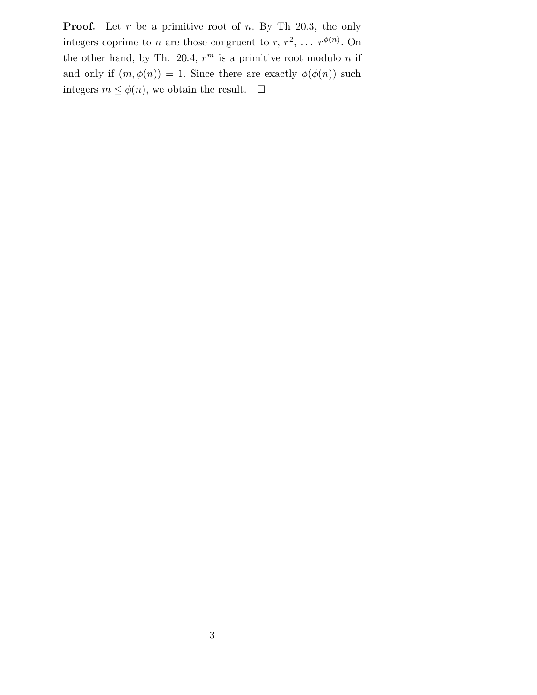**Proof.** Let  $r$  be a primitive root of  $n$ . By Th 20.3, the only integers coprime to *n* are those congruent to *r*,  $r^2$ , ...  $r^{\phi(n)}$ . On the other hand, by Th. 20.4,  $r^m$  is a primitive root modulo n if and only if  $(m, \phi(n)) = 1$ . Since there are exactly  $\phi(\phi(n))$  such integers  $m \leq \phi(n)$ , we obtain the result.  $\Box$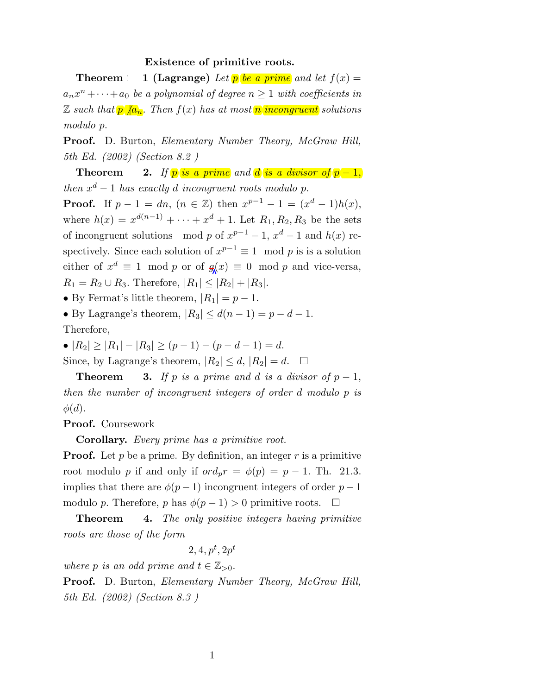## Existence of primitive roots.

**Theorem** 1 (Lagrange) Let p be a prime and let  $f(x) =$  $a_n x^n + \cdots + a_0$  be a polynomial of degree  $n \geq 1$  with coefficients in  $\mathbb Z$  such that  $p \mid a_n$ . Then  $f(x)$  has at most n incongruent solutions modulo p.

**Proof.** D. Burton, *Elementary Number Theory, McGraw Hill,* 5th Ed. (2002) (Section 8.2 )

Theorem 2. If  $p$  is a prime and d is a divisor of  $p-1$ , then  $x^d - 1$  has exactly d incongruent roots modulo p. **Proof.** If  $p - 1 = dn$ ,  $(n \in \mathbb{Z})$  then  $x^{p-1} - 1 = (x^d - 1)h(x)$ , where  $h(x) = x^{d(n-1)} + \cdots + x^d + 1$ . Let  $R_1, R_2, R_3$  be the sets of incongruent solutions mod p of  $x^{p-1} - 1$ ,  $x^d - 1$  and  $h(x)$  respectively. Since each solution of  $x^{p-1} \equiv 1 \mod p$  is is a solution either of  $x^d \equiv 1 \mod p$  or of  $g(x) \equiv 0 \mod p$  and vice-versa,  $R_1 = R_2 \cup R_3$ . Therefore,  $|R_1| \leq |R_2| + |R_3|$ .

• By Fermat's little theorem,  $|R_1| = p - 1$ .

• By Lagrange's theorem,  $|R_3| \leq d(n-1) = p - d - 1$ . Therefore,

•  $|R_2| \ge |R_1| - |R_3| \ge (p-1) - (p-d-1) = d.$ Since, by Lagrange's theorem,  $|R_2| \leq d$ ,  $|R_2| = d$ .  $\Box$ 

**Theorem 3.** If p is a prime and d is a divisor of  $p - 1$ , then the number of incongruent integers of order d modulo p is  $\phi(d)$ .

Proof. Coursework

Corollary. Every prime has a primitive root.

**Proof.** Let p be a prime. By definition, an integer r is a primitive root modulo p if and only if  $\partial r d_p r = \phi(p) = p - 1$ . Th. 21.3. implies that there are  $\phi(p-1)$  incongruent integers of order  $p-1$ modulo p. Therefore, p has  $\phi(p-1) > 0$  primitive roots.  $\Box$ 

**Theorem** 4. The only positive integers having primitive roots are those of the form

$$
2,4,p^t,2p^t
$$

where p is an odd prime and  $t \in \mathbb{Z}_{>0}$ .

**Proof.** D. Burton, *Elementary Number Theory, McGraw Hill,* 5th Ed. (2002) (Section 8.3 )